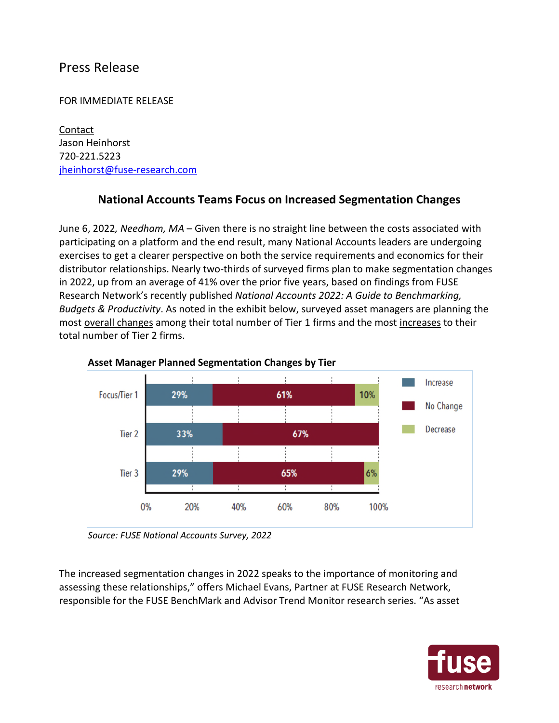## Press Release

## FOR IMMEDIATE RELEASE

**Contact** Jason Heinhorst 720-221.5223 jheinhorst@fuse-research.com

## **National Accounts Teams Focus on Increased Segmentation Changes**

June 6, 2022*, Needham, MA* – Given there is no straight line between the costs associated with participating on a platform and the end result, many National Accounts leaders are undergoing exercises to get a clearer perspective on both the service requirements and economics for their distributor relationships. Nearly two-thirds of surveyed firms plan to make segmentation changes in 2022, up from an average of 41% over the prior five years, based on findings from FUSE Research Network's recently published *National Accounts 2022: A Guide to Benchmarking, Budgets & Productivity*. As noted in the exhibit below, surveyed asset managers are planning the most overall changes among their total number of Tier 1 firms and the most increases to their total number of Tier 2 firms.





The increased segmentation changes in 2022 speaks to the importance of monitoring and assessing these relationships," offers Michael Evans, Partner at FUSE Research Network, responsible for the FUSE BenchMark and Advisor Trend Monitor research series. "As asset



*Source: FUSE National Accounts Survey, 2022*